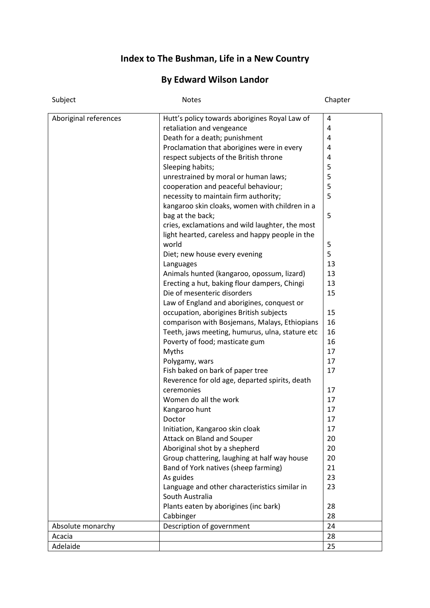## **Index to The Bushman, Life in a New Country**

## **By Edward Wilson Landor**

| Subject               | Notes                                           | Chapter |
|-----------------------|-------------------------------------------------|---------|
| Aboriginal references | Hutt's policy towards aborigines Royal Law of   | 4       |
|                       | retaliation and vengeance                       | 4       |
|                       | Death for a death; punishment                   | 4       |
|                       | Proclamation that aborigines were in every      | 4       |
|                       | respect subjects of the British throne          | 4       |
|                       | Sleeping habits;                                | 5       |
|                       | unrestrained by moral or human laws;            | 5       |
|                       | cooperation and peaceful behaviour;             | 5       |
|                       | necessity to maintain firm authority;           | 5       |
|                       | kangaroo skin cloaks, women with children in a  |         |
|                       | bag at the back;                                | 5       |
|                       | cries, exclamations and wild laughter, the most |         |
|                       | light hearted, careless and happy people in the |         |
|                       | world                                           | 5       |
|                       | Diet; new house every evening                   | 5       |
|                       | Languages                                       | 13      |
|                       | Animals hunted (kangaroo, opossum, lizard)      | 13      |
|                       | Erecting a hut, baking flour dampers, Chingi    | 13      |
|                       | Die of mesenteric disorders                     | 15      |
|                       | Law of England and aborigines, conquest or      |         |
|                       | occupation, aborigines British subjects         | 15      |
|                       | comparison with Bosjemans, Malays, Ethiopians   | 16      |
|                       | Teeth, jaws meeting, humurus, ulna, stature etc | 16      |
|                       | Poverty of food; masticate gum                  | 16      |
|                       | Myths                                           | 17      |
|                       | Polygamy, wars                                  | 17      |
|                       | Fish baked on bark of paper tree                | 17      |
|                       | Reverence for old age, departed spirits, death  |         |
|                       | ceremonies                                      | 17      |
|                       | Women do all the work                           | 17      |
|                       | Kangaroo hunt                                   | 17      |
|                       | Doctor                                          | 17      |
|                       | Initiation, Kangaroo skin cloak                 | 17      |
|                       | Attack on Bland and Souper                      | 20      |
|                       | Aboriginal shot by a shepherd                   | 20      |
|                       | Group chattering, laughing at half way house    | 20      |
|                       | Band of York natives (sheep farming)            | 21      |
|                       | As guides                                       | 23      |
|                       | Language and other characteristics similar in   | 23      |
|                       | South Australia                                 |         |
|                       | Plants eaten by aborigines (inc bark)           | 28      |
|                       | Cabbinger                                       | 28      |
| Absolute monarchy     | Description of government                       | 24      |
| Acacia                |                                                 | 28      |
| Adelaide              |                                                 | 25      |
|                       |                                                 |         |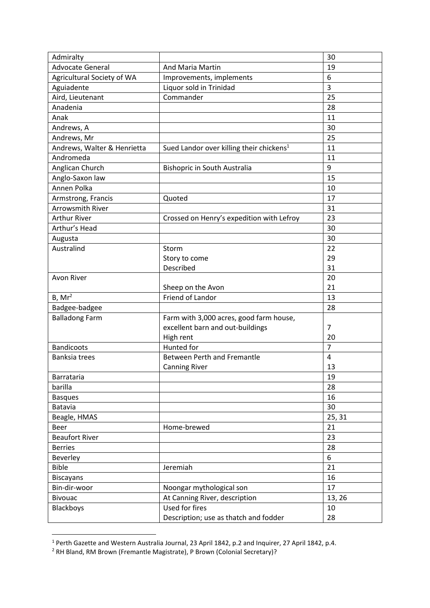| Admiralty                   |                                                      | 30             |
|-----------------------------|------------------------------------------------------|----------------|
| <b>Advocate General</b>     | And Maria Martin                                     | 19             |
| Agricultural Society of WA  | Improvements, implements                             | 6              |
| Aguiadente                  | Liquor sold in Trinidad                              | 3              |
| Aird, Lieutenant            | Commander                                            | 25             |
| Anadenia                    |                                                      | 28             |
| Anak                        |                                                      | 11             |
| Andrews, A                  |                                                      | 30             |
| Andrews, Mr                 |                                                      | 25             |
| Andrews, Walter & Henrietta | Sued Landor over killing their chickens <sup>1</sup> | 11             |
| Andromeda                   |                                                      | 11             |
| Anglican Church             | Bishopric in South Australia                         | 9              |
| Anglo-Saxon law             |                                                      | 15             |
| Annen Polka                 |                                                      | 10             |
| Armstrong, Francis          | Quoted                                               | 17             |
| <b>Arrowsmith River</b>     |                                                      | 31             |
| <b>Arthur River</b>         | Crossed on Henry's expedition with Lefroy            | 23             |
| Arthur's Head               |                                                      | 30             |
| Augusta                     |                                                      | 30             |
| Australind                  | Storm                                                | 22             |
|                             | Story to come                                        | 29             |
|                             | Described                                            | 31             |
| Avon River                  |                                                      | 20             |
|                             | Sheep on the Avon                                    | 21             |
| $B$ , M $r^2$               | Friend of Landor                                     | 13             |
| Badgee-badgee               |                                                      | 28             |
| <b>Balladong Farm</b>       | Farm with 3,000 acres, good farm house,              |                |
|                             | excellent barn and out-buildings                     | $\overline{7}$ |
|                             | High rent                                            | 20             |
| <b>Bandicoots</b>           | Hunted for                                           | $\overline{7}$ |
| <b>Banksia trees</b>        | <b>Between Perth and Fremantle</b>                   | $\overline{4}$ |
|                             | <b>Canning River</b>                                 | 13             |
| Barrataria                  |                                                      | 19             |
| barilla                     |                                                      | 28             |
| <b>Basques</b>              |                                                      | 16             |
| Batavia                     |                                                      | 30             |
| Beagle, HMAS                |                                                      | 25, 31         |
| <b>Beer</b>                 | Home-brewed                                          | 21             |
| <b>Beaufort River</b>       |                                                      | 23             |
| <b>Berries</b>              |                                                      | 28             |
| Beverley                    |                                                      | 6              |
| <b>Bible</b>                | Jeremiah                                             | 21             |
| <b>Biscayans</b>            |                                                      | 16             |
| Bin-dir-woor                | Noongar mythological son                             | 17             |
| <b>Bivouac</b>              | At Canning River, description                        | 13, 26         |
| Blackboys                   | Used for fires                                       | 10             |
|                             | Description; use as thatch and fodder                | 28             |
|                             |                                                      |                |

 $<sup>1</sup>$  Perth Gazette and Western Australia Journal, 23 April 1842, p.2 and Inquirer, 27 April 1842, p.4.</sup>

1

<sup>&</sup>lt;sup>2</sup> RH Bland, RM Brown (Fremantle Magistrate), P Brown (Colonial Secretary)?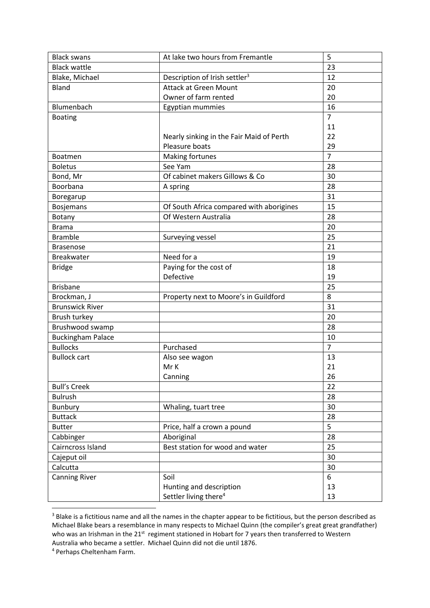| <b>Black swans</b>       | At lake two hours from Fremantle          | 5              |
|--------------------------|-------------------------------------------|----------------|
| <b>Black wattle</b>      |                                           | 23             |
| Blake, Michael           | Description of Irish settler <sup>3</sup> | 12             |
| Bland                    | <b>Attack at Green Mount</b>              | 20             |
|                          | Owner of farm rented                      | 20             |
| Blumenbach               | Egyptian mummies                          | 16             |
| <b>Boating</b>           |                                           | $\overline{7}$ |
|                          |                                           | 11             |
|                          | Nearly sinking in the Fair Maid of Perth  | 22             |
|                          | Pleasure boats                            | 29             |
| <b>Boatmen</b>           | Making fortunes                           | $\overline{7}$ |
| <b>Boletus</b>           | See Yam                                   | 28             |
| Bond, Mr                 | Of cabinet makers Gillows & Co            | 30             |
| Boorbana                 | A spring                                  | 28             |
| Boregarup                |                                           | 31             |
| <b>Bosjemans</b>         | Of South Africa compared with aborigines  | 15             |
| Botany                   | Of Western Australia                      | 28             |
| <b>Brama</b>             |                                           | 20             |
| <b>Bramble</b>           | Surveying vessel                          | 25             |
| <b>Brasenose</b>         |                                           | 21             |
| <b>Breakwater</b>        | Need for a                                | 19             |
| <b>Bridge</b>            | Paying for the cost of                    | 18             |
|                          | Defective                                 | 19             |
| <b>Brisbane</b>          |                                           | 25             |
| Brockman, J              | Property next to Moore's in Guildford     | 8              |
| <b>Brunswick River</b>   |                                           | 31             |
| Brush turkey             |                                           | 20             |
| Brushwood swamp          |                                           | 28             |
| <b>Buckingham Palace</b> |                                           | 10             |
| <b>Bullocks</b>          | Purchased                                 | $\overline{7}$ |
| <b>Bullock cart</b>      | Also see wagon                            | 13             |
|                          | Mr K                                      | 21             |
|                          | Canning                                   | 26             |
| <b>Bull's Creek</b>      |                                           | 22             |
| <b>Bulrush</b>           |                                           | 28             |
| <b>Bunbury</b>           | Whaling, tuart tree                       | 30             |
| <b>Buttack</b>           |                                           | 28             |
| <b>Butter</b>            | Price, half a crown a pound               | 5              |
| Cabbinger                | Aboriginal                                | 28             |
| Cairncross Island        | Best station for wood and water           | 25             |
| Cajeput oil              |                                           | 30             |
| Calcutta                 |                                           | 30             |
| <b>Canning River</b>     | Soil                                      | 6              |
|                          | Hunting and description                   | 13             |
|                          | Settler living there <sup>4</sup>         | 13             |

<sup>&</sup>lt;sup>3</sup> Blake is a fictitious name and all the names in the chapter appear to be fictitious, but the person described as Michael Blake bears a resemblance in many respects to Michael Quinn (the compiler's great great grandfather) who was an Irishman in the 21<sup>st</sup> regiment stationed in Hobart for 7 years then transferred to Western Australia who became a settler. Michael Quinn did not die until 1876.

<sup>4</sup> Perhaps Cheltenham Farm.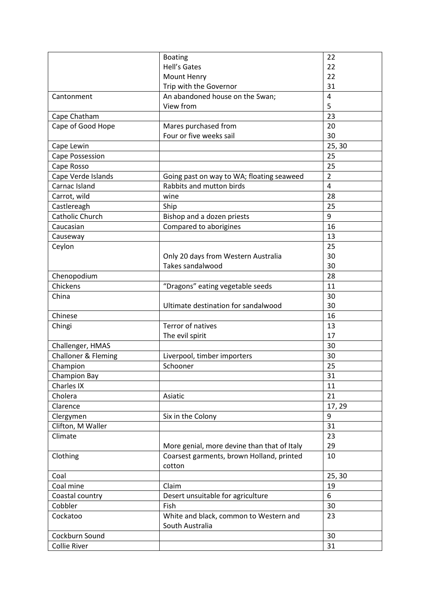|                                | <b>Boating</b>                              | 22                      |
|--------------------------------|---------------------------------------------|-------------------------|
|                                | <b>Hell's Gates</b>                         | 22                      |
|                                | Mount Henry                                 | 22                      |
|                                | Trip with the Governor                      | 31                      |
| Cantonment                     | An abandoned house on the Swan;             | 4                       |
|                                | View from                                   | 5                       |
| Cape Chatham                   |                                             | 23                      |
| Cape of Good Hope              | Mares purchased from                        | 20                      |
|                                | Four or five weeks sail                     | 30                      |
| Cape Lewin                     |                                             | 25, 30                  |
| Cape Possession                |                                             | 25                      |
| Cape Rosso                     |                                             | 25                      |
| Cape Verde Islands             | Going past on way to WA; floating seaweed   | $\overline{2}$          |
| Carnac Island                  | Rabbits and mutton birds                    | $\overline{\mathbf{4}}$ |
| Carrot, wild                   | wine                                        | 28                      |
| Castlereagh                    | Ship                                        | 25                      |
| Catholic Church                | Bishop and a dozen priests                  | 9                       |
| Caucasian                      | Compared to aborigines                      | 16                      |
| Causeway                       |                                             | 13                      |
| Ceylon                         |                                             | 25                      |
|                                | Only 20 days from Western Australia         | 30                      |
|                                | Takes sandalwood                            | 30                      |
| Chenopodium                    |                                             | 28                      |
| Chickens                       | "Dragons" eating vegetable seeds            | 11                      |
| China                          |                                             | 30                      |
|                                | Ultimate destination for sandalwood         | 30                      |
| Chinese                        |                                             | 16                      |
| Chingi                         | Terror of natives                           | 13                      |
|                                | The evil spirit                             | 17                      |
| Challenger, HMAS               |                                             | 30                      |
| <b>Challoner &amp; Fleming</b> | Liverpool, timber importers                 | 30                      |
| Champion                       | Schooner                                    | 25                      |
| Champion Bay                   |                                             | 31                      |
| Charles IX                     |                                             | 11                      |
| Cholera                        | Asiatic                                     | 21                      |
| Clarence                       |                                             | 17, 29                  |
| Clergymen                      | Six in the Colony                           | 9                       |
| Clifton, M Waller              |                                             | 31                      |
| Climate                        |                                             | 23                      |
|                                | More genial, more devine than that of Italy | 29                      |
| Clothing                       | Coarsest garments, brown Holland, printed   | 10                      |
|                                | cotton                                      |                         |
| Coal                           |                                             | 25, 30                  |
| Coal mine                      | Claim                                       | 19                      |
| Coastal country                | Desert unsuitable for agriculture           | 6                       |
| Cobbler                        | Fish                                        | 30                      |
| Cockatoo                       | White and black, common to Western and      | 23                      |
|                                | South Australia                             |                         |
| Cockburn Sound                 |                                             | 30                      |
| <b>Collie River</b>            |                                             | 31                      |
|                                |                                             |                         |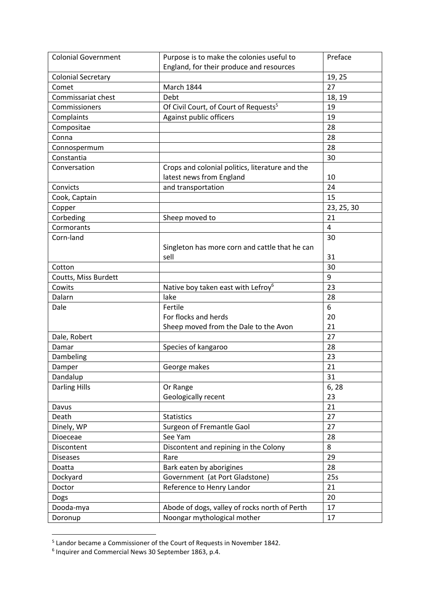| <b>Colonial Government</b>       | Purpose is to make the colonies useful to                                   | Preface    |
|----------------------------------|-----------------------------------------------------------------------------|------------|
|                                  | England, for their produce and resources                                    |            |
| <b>Colonial Secretary</b>        |                                                                             | 19, 25     |
| Comet                            | <b>March 1844</b>                                                           | 27         |
| Commissariat chest               | Debt                                                                        | 18, 19     |
| Commissioners                    | Of Civil Court, of Court of Requests <sup>5</sup>                           | 19         |
| Complaints                       | Against public officers                                                     | 19         |
| Compositae                       |                                                                             | 28         |
| Conna                            |                                                                             | 28         |
| Connospermum                     |                                                                             | 28         |
| Constantia                       |                                                                             | 30         |
| Conversation                     | Crops and colonial politics, literature and the<br>latest news from England | 10         |
| Convicts                         | and transportation                                                          | 24         |
| Cook, Captain                    |                                                                             | 15         |
| Copper                           |                                                                             | 23, 25, 30 |
| Corbeding                        | Sheep moved to                                                              | 21         |
| Cormorants                       |                                                                             | 4          |
| Corn-land                        |                                                                             | 30         |
|                                  | Singleton has more corn and cattle that he can                              |            |
|                                  | sell                                                                        | 31         |
| Cotton                           |                                                                             | 30         |
| Coutts, Miss Burdett             |                                                                             | 9          |
| Cowits                           | Native boy taken east with Lefroy <sup>6</sup>                              | 23         |
| Dalarn                           | lake                                                                        | 28         |
| Dale                             | Fertile                                                                     | 6          |
|                                  | For flocks and herds                                                        | 20         |
|                                  | Sheep moved from the Dale to the Avon                                       | 21         |
| Dale, Robert                     |                                                                             | 27         |
| Damar                            | Species of kangaroo                                                         | 28         |
| Dambeling                        |                                                                             | 23         |
| Damper                           | George makes                                                                | 21<br>31   |
| Dandalup<br><b>Darling Hills</b> |                                                                             | 6, 28      |
|                                  | Or Range<br>Geologically recent                                             | 23         |
| Davus                            |                                                                             | 21         |
| Death                            | <b>Statistics</b>                                                           | 27         |
| Dinely, WP                       | Surgeon of Fremantle Gaol                                                   | 27         |
| Dioeceae                         | See Yam                                                                     | 28         |
| Discontent                       | Discontent and repining in the Colony                                       | 8          |
| <b>Diseases</b>                  | Rare                                                                        | 29         |
|                                  |                                                                             |            |
| Doatta                           | Bark eaten by aborigines                                                    | 28         |
| Dockyard                         | Government (at Port Gladstone)                                              | 25s        |
| Doctor                           | Reference to Henry Landor                                                   | 21         |
| Dogs                             |                                                                             | 20         |
| Dooda-mya                        | Abode of dogs, valley of rocks north of Perth                               | 17         |
| Doronup                          | Noongar mythological mother                                                 | 17         |

 5 Landor became a Commissioner of the Court of Requests in November 1842. 6 Inquirer and Commercial News 30 September 1863, p.4.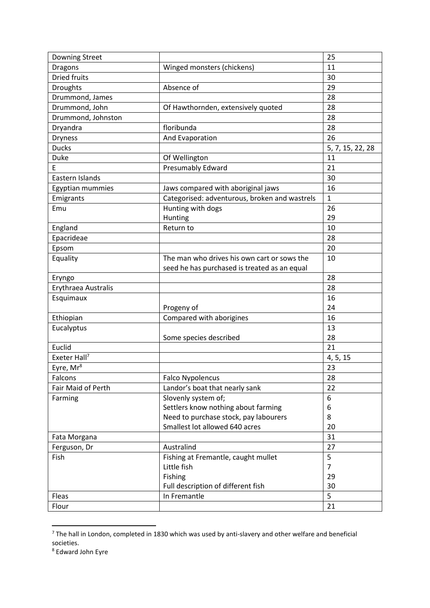| Downing Street           |                                               | 25               |
|--------------------------|-----------------------------------------------|------------------|
| <b>Dragons</b>           | Winged monsters (chickens)                    | 11               |
| <b>Dried fruits</b>      |                                               | 30               |
| <b>Droughts</b>          | Absence of                                    | 29               |
| Drummond, James          |                                               | 28               |
| Drummond, John           | Of Hawthornden, extensively quoted            | 28               |
| Drummond, Johnston       |                                               | 28               |
| Dryandra                 | floribunda                                    | 28               |
| <b>Dryness</b>           | And Evaporation                               | 26               |
| <b>Ducks</b>             |                                               | 5, 7, 15, 22, 28 |
| Duke                     | Of Wellington                                 | 11               |
| E                        | Presumably Edward                             | 21               |
| Eastern Islands          |                                               | 30               |
| Egyptian mummies         | Jaws compared with aboriginal jaws            | 16               |
| Emigrants                | Categorised: adventurous, broken and wastrels | $\mathbf{1}$     |
| Emu                      | Hunting with dogs                             | 26               |
|                          | Hunting                                       | 29               |
| England                  | Return to                                     | 10               |
| Epacrideae               |                                               | 28               |
| Epsom                    |                                               | 20               |
| Equality                 | The man who drives his own cart or sows the   | 10               |
|                          | seed he has purchased is treated as an equal  |                  |
| Eryngo                   |                                               | 28               |
| Erythraea Australis      |                                               | 28               |
| Esquimaux                |                                               | 16               |
|                          | Progeny of                                    | 24               |
| Ethiopian                | Compared with aborigines                      | 16               |
| Eucalyptus               |                                               | 13               |
|                          | Some species described                        | 28               |
| Euclid                   |                                               | 21               |
| Exeter Hall <sup>7</sup> |                                               | 4, 5, 15         |
| Eyre, Mr <sup>8</sup>    |                                               | 23               |
| Falcons                  | <b>Falco Nypolencus</b>                       | 28               |
| Fair Maid of Perth       | Landor's boat that nearly sank                | 22               |
| Farming                  | Slovenly system of;                           | 6                |
|                          | Settlers know nothing about farming           | 6                |
|                          | Need to purchase stock, pay labourers         | 8                |
|                          | Smallest lot allowed 640 acres                | 20               |
| Fata Morgana             |                                               | 31               |
| Ferguson, Dr             | Australind                                    | 27               |
| Fish                     | Fishing at Fremantle, caught mullet           | 5                |
|                          | Little fish                                   | $\overline{7}$   |
|                          | Fishing                                       | 29               |
|                          | Full description of different fish            | 30               |
| Fleas                    | In Fremantle                                  | 5                |
| Flour                    |                                               | 21               |

 $7$  The hall in London, completed in 1830 which was used by anti-slavery and other welfare and beneficial societies.

<sup>&</sup>lt;sup>8</sup> Edward John Eyre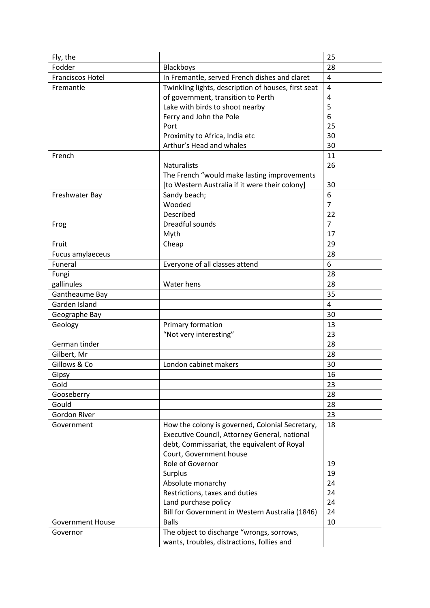| Fly, the                |                                                     | 25             |
|-------------------------|-----------------------------------------------------|----------------|
| Fodder                  | Blackboys                                           | 28             |
| <b>Franciscos Hotel</b> | In Fremantle, served French dishes and claret       | $\overline{4}$ |
| Fremantle               | Twinkling lights, description of houses, first seat | $\overline{4}$ |
|                         | of government, transition to Perth                  | 4              |
|                         | Lake with birds to shoot nearby                     | 5              |
|                         | Ferry and John the Pole                             | 6              |
|                         | Port                                                | 25             |
|                         | Proximity to Africa, India etc                      | 30             |
|                         | Arthur's Head and whales                            | 30             |
| French                  |                                                     | 11             |
|                         | <b>Naturalists</b>                                  | 26             |
|                         | The French "would make lasting improvements         |                |
|                         | [to Western Australia if it were their colony]      | 30             |
| Freshwater Bay          | Sandy beach;                                        | 6              |
|                         | Wooded                                              | $\overline{7}$ |
|                         | Described                                           | 22             |
| Frog                    | Dreadful sounds                                     | $\overline{7}$ |
|                         | Myth                                                | 17             |
| Fruit                   | Cheap                                               | 29             |
| Fucus amylaeceus        |                                                     | 28             |
| Funeral                 | Everyone of all classes attend                      | 6              |
| Fungi                   |                                                     | 28             |
| gallinules              | Water hens                                          | 28             |
| Gantheaume Bay          |                                                     | 35             |
| Garden Island           |                                                     | $\overline{4}$ |
| Geographe Bay           |                                                     | 30             |
| Geology                 | Primary formation                                   | 13             |
|                         | "Not very interesting"                              | 23             |
| German tinder           |                                                     | 28             |
| Gilbert, Mr             |                                                     | 28             |
| Gillows & Co            | London cabinet makers                               | 30             |
| Gipsy                   |                                                     | 16             |
| Gold                    |                                                     | 23             |
| Gooseberry              |                                                     | 28             |
| Gould                   |                                                     | 28             |
| Gordon River            |                                                     | 23             |
| Government              | How the colony is governed, Colonial Secretary,     | 18             |
|                         | Executive Council, Attorney General, national       |                |
|                         | debt, Commissariat, the equivalent of Royal         |                |
|                         | Court, Government house                             |                |
|                         | Role of Governor                                    | 19             |
|                         | Surplus                                             | 19             |
|                         | Absolute monarchy                                   | 24             |
|                         | Restrictions, taxes and duties                      | 24             |
|                         | Land purchase policy                                | 24             |
|                         | Bill for Government in Western Australia (1846)     | 24             |
| <b>Government House</b> | <b>Balls</b>                                        | 10             |
| Governor                | The object to discharge "wrongs, sorrows,           |                |
|                         | wants, troubles, distractions, follies and          |                |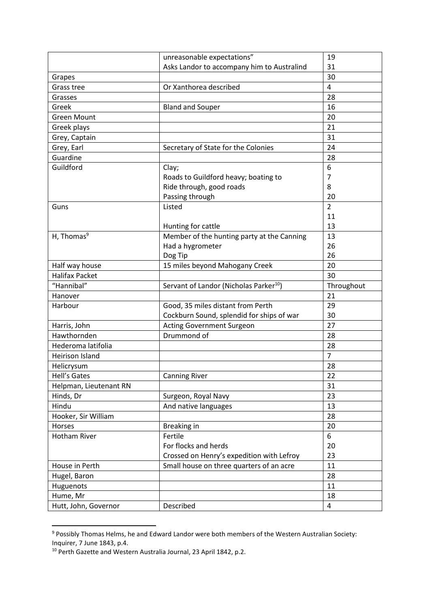|                        | unreasonable expectations"                         | 19             |
|------------------------|----------------------------------------------------|----------------|
|                        | Asks Landor to accompany him to Australind         | 31             |
| Grapes                 |                                                    | 30             |
| Grass tree             | Or Xanthorea described                             | $\overline{4}$ |
| Grasses                |                                                    | 28             |
| Greek                  | <b>Bland and Souper</b>                            | 16             |
| <b>Green Mount</b>     |                                                    | 20             |
| Greek plays            |                                                    | 21             |
| Grey, Captain          |                                                    | 31             |
| Grey, Earl             | Secretary of State for the Colonies                | 24             |
| Guardine               |                                                    | 28             |
| Guildford              | Clay;                                              | 6              |
|                        | Roads to Guildford heavy; boating to               | 7              |
|                        | Ride through, good roads                           | 8              |
|                        | Passing through                                    | 20             |
| Guns                   | Listed                                             | $\overline{2}$ |
|                        |                                                    | 11             |
|                        | Hunting for cattle                                 | 13             |
| H, Thomas <sup>9</sup> | Member of the hunting party at the Canning         | 13             |
|                        | Had a hygrometer                                   | 26             |
|                        | Dog Tip                                            | 26             |
| Half way house         | 15 miles beyond Mahogany Creek                     | 20             |
| <b>Halifax Packet</b>  |                                                    | 30             |
|                        |                                                    |                |
| "Hannibal"             | Servant of Landor (Nicholas Parker <sup>10</sup> ) | Throughout     |
| Hanover                |                                                    | 21             |
| Harbour                | Good, 35 miles distant from Perth                  | 29             |
|                        | Cockburn Sound, splendid for ships of war          | 30             |
| Harris, John           | <b>Acting Government Surgeon</b>                   | 27             |
| Hawthornden            | Drummond of                                        | 28             |
| Hederoma latifolia     |                                                    | 28             |
| <b>Heirison Island</b> |                                                    | $\overline{7}$ |
| Helicrysum             |                                                    | 28             |
| Hell's Gates           | <b>Canning River</b>                               | 22             |
| Helpman, Lieutenant RN |                                                    | 31             |
| Hinds, Dr              | Surgeon, Royal Navy                                | 23             |
| Hindu                  | And native languages                               | 13             |
| Hooker, Sir William    |                                                    | 28             |
| Horses                 | Breaking in                                        | 20             |
| Hotham River           | Fertile                                            | 6              |
|                        | For flocks and herds                               | 20             |
|                        | Crossed on Henry's expedition with Lefroy          | 23             |
| House in Perth         | Small house on three quarters of an acre           | 11             |
| Hugel, Baron           |                                                    | 28             |
| Huguenots              |                                                    | 11             |
| Hume, Mr               |                                                    | 18             |

<sup>&</sup>lt;sup>9</sup> Possibly Thomas Helms, he and Edward Landor were both members of the Western Australian Society: Inquirer, 7 June 1843, p.4.

<sup>&</sup>lt;sup>10</sup> Perth Gazette and Western Australia Journal, 23 April 1842, p.2.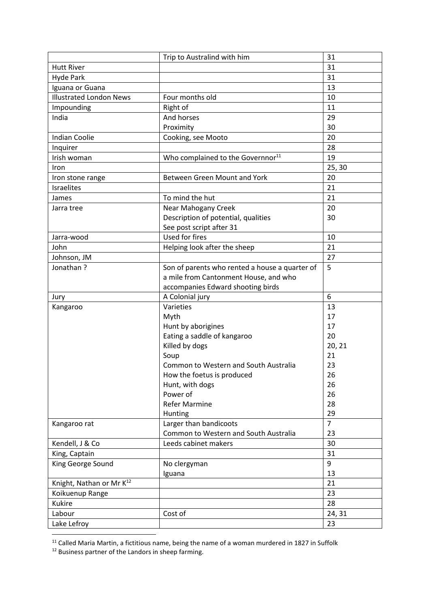|                                      | Trip to Australind with him                    | 31             |
|--------------------------------------|------------------------------------------------|----------------|
| <b>Hutt River</b>                    |                                                | 31             |
| <b>Hyde Park</b>                     |                                                | 31             |
| Iguana or Guana                      |                                                | 13             |
| <b>Illustrated London News</b>       | Four months old                                | 10             |
| Impounding                           | Right of                                       | 11             |
| India                                | And horses                                     | 29             |
|                                      | Proximity                                      | 30             |
| <b>Indian Coolie</b>                 | Cooking, see Mooto                             | 20             |
| Inquirer                             |                                                | 28             |
| Irish woman                          | Who complained to the Governnor <sup>11</sup>  | 19             |
| Iron                                 |                                                | 25, 30         |
| Iron stone range                     | Between Green Mount and York                   | 20             |
| <b>Israelites</b>                    |                                                | 21             |
| James                                | To mind the hut                                | 21             |
| Jarra tree                           | Near Mahogany Creek                            | 20             |
|                                      | Description of potential, qualities            | 30             |
|                                      | See post script after 31                       |                |
| Jarra-wood                           | Used for fires                                 | 10             |
| John                                 | Helping look after the sheep                   | 21             |
| Johnson, JM                          |                                                | 27             |
| Jonathan?                            | Son of parents who rented a house a quarter of | 5              |
|                                      | a mile from Cantonment House, and who          |                |
|                                      | accompanies Edward shooting birds              |                |
| Jury                                 | A Colonial jury                                | 6              |
| Kangaroo                             | Varieties                                      | 13             |
|                                      | Myth                                           | 17             |
|                                      | Hunt by aborigines                             | 17             |
|                                      | Eating a saddle of kangaroo                    | 20             |
|                                      | Killed by dogs                                 | 20, 21         |
|                                      | Soup                                           | 21             |
|                                      | Common to Western and South Australia          | 23             |
|                                      | How the foetus is produced                     | 26             |
|                                      | Hunt, with dogs                                | 26             |
|                                      | Power of                                       | 26             |
|                                      | <b>Refer Marmine</b>                           | 28             |
|                                      | Hunting                                        | 29             |
| Kangaroo rat                         | Larger than bandicoots                         | $\overline{7}$ |
|                                      | Common to Western and South Australia          | 23             |
| Kendell, J & Co                      | Leeds cabinet makers                           | 30             |
| King, Captain                        |                                                | 31             |
| King George Sound                    | No clergyman                                   | 9              |
|                                      | Iguana                                         | 13             |
| Knight, Nathan or Mr K <sup>12</sup> |                                                | 21             |
| Koikuenup Range                      |                                                | 23             |
| <b>Kukire</b>                        |                                                | 28             |
| Labour                               | Cost of                                        | 24, 31         |
| Lake Lefroy                          |                                                | 23             |

 $11$  Called Maria Martin, a fictitious name, being the name of a woman murdered in 1827 in Suffolk

1

<sup>&</sup>lt;sup>12</sup> Business partner of the Landors in sheep farming.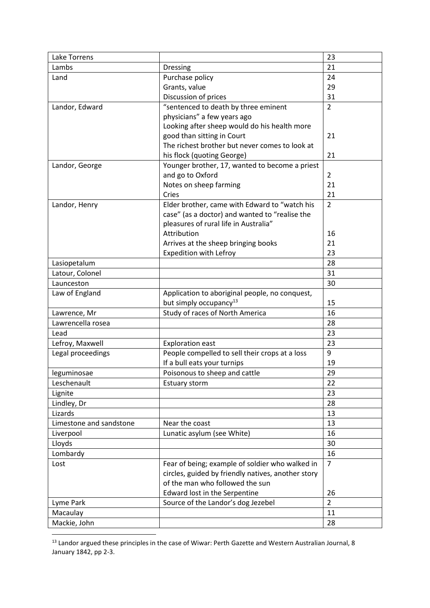| Lake Torrens            |                                                    | 23             |
|-------------------------|----------------------------------------------------|----------------|
| Lambs                   | <b>Dressing</b>                                    | 21             |
| Land                    | Purchase policy                                    | 24             |
|                         | Grants, value                                      | 29             |
|                         | Discussion of prices                               | 31             |
| Landor, Edward          | "sentenced to death by three eminent               | $\overline{2}$ |
|                         | physicians" a few years ago                        |                |
|                         | Looking after sheep would do his health more       |                |
|                         | good than sitting in Court                         | 21             |
|                         | The richest brother but never comes to look at     |                |
|                         | his flock (quoting George)                         | 21             |
| Landor, George          | Younger brother, 17, wanted to become a priest     |                |
|                         | and go to Oxford                                   | $\overline{2}$ |
|                         | Notes on sheep farming                             | 21             |
|                         | Cries                                              | 21             |
| Landor, Henry           | Elder brother, came with Edward to "watch his      | $\overline{2}$ |
|                         | case" (as a doctor) and wanted to "realise the     |                |
|                         | pleasures of rural life in Australia"              |                |
|                         | Attribution                                        | 16             |
|                         | Arrives at the sheep bringing books                | 21             |
|                         | Expedition with Lefroy                             | 23             |
| Lasiopetalum            |                                                    | 28             |
| Latour, Colonel         |                                                    | 31             |
| Launceston              |                                                    | 30             |
| Law of England          | Application to aboriginal people, no conquest,     |                |
|                         | but simply occupancy <sup>13</sup>                 | 15             |
| Lawrence, Mr            | Study of races of North America                    | 16             |
| Lawrencella rosea       |                                                    | 28             |
| Lead                    |                                                    | 23             |
| Lefroy, Maxwell         | <b>Exploration east</b>                            | 23             |
| Legal proceedings       | People compelled to sell their crops at a loss     | 9              |
|                         | If a bull eats your turnips                        | 19             |
| leguminosae             | Poisonous to sheep and cattle                      | 29             |
| Leschenault             | Estuary storm                                      | 22             |
| Lignite                 |                                                    | 23             |
| Lindley, Dr             |                                                    | 28             |
| Lizards                 |                                                    | 13             |
| Limestone and sandstone | Near the coast                                     | 13             |
| Liverpool               | Lunatic asylum (see White)                         | 16             |
| Lloyds                  |                                                    | 30             |
| Lombardy                |                                                    | 16             |
| Lost                    | Fear of being; example of soldier who walked in    | $\overline{7}$ |
|                         | circles, guided by friendly natives, another story |                |
|                         | of the man who followed the sun                    |                |
|                         | Edward lost in the Serpentine                      | 26             |
| Lyme Park               | Source of the Landor's dog Jezebel                 | $\overline{2}$ |
| Macaulay                |                                                    | 11             |
| Mackie, John            |                                                    | 28             |

<sup>&</sup>lt;sup>13</sup> Landor argued these principles in the case of Wiwar: Perth Gazette and Western Australian Journal, 8 January 1842, pp 2-3.

1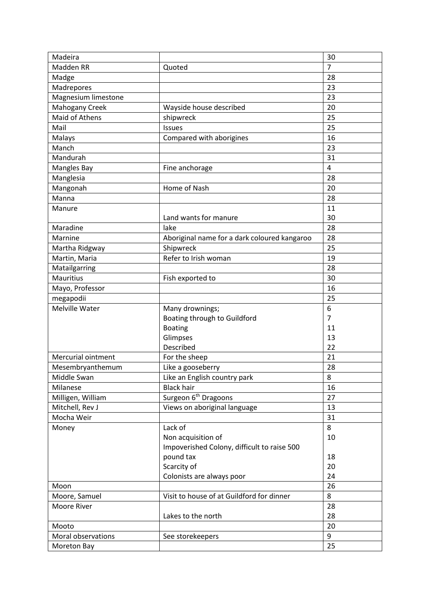| Madeira             |                                              | 30             |
|---------------------|----------------------------------------------|----------------|
| Madden RR           | Quoted                                       | $\overline{7}$ |
| Madge               |                                              | 28             |
| Madrepores          |                                              | 23             |
| Magnesium limestone |                                              | 23             |
| Mahogany Creek      | Wayside house described                      | 20             |
| Maid of Athens      | shipwreck                                    | 25             |
| Mail                | Issues                                       | 25             |
| Malays              | Compared with aborigines                     | 16             |
| Manch               |                                              | 23             |
| Mandurah            |                                              | 31             |
| <b>Mangles Bay</b>  | Fine anchorage                               | $\overline{4}$ |
| Manglesia           |                                              | 28             |
| Mangonah            | Home of Nash                                 | 20             |
| Manna               |                                              | 28             |
| Manure              |                                              | 11             |
|                     | Land wants for manure                        | 30             |
| Maradine            | lake                                         | 28             |
| Marnine             | Aboriginal name for a dark coloured kangaroo | 28             |
| Martha Ridgway      | Shipwreck                                    | 25             |
| Martin, Maria       | Refer to Irish woman                         | 19             |
| Matailgarring       |                                              | 28             |
| <b>Mauritius</b>    | Fish exported to                             | 30             |
| Mayo, Professor     |                                              | 16             |
| megapodii           |                                              | 25             |
| Melville Water      | Many drownings;                              | 6              |
|                     | Boating through to Guildford                 | $\overline{7}$ |
|                     | <b>Boating</b>                               | 11             |
|                     | Glimpses                                     | 13             |
|                     | Described                                    | 22             |
| Mercurial ointment  | For the sheep                                | 21             |
| Mesembryanthemum    | Like a gooseberry                            | 28             |
| Middle Swan         | Like an English country park                 | 8              |
| Milanese            | <b>Black hair</b>                            | 16             |
| Milligen, William   | Surgeon 6 <sup>th</sup> Dragoons             | 27             |
| Mitchell, Rev J     | Views on aboriginal language                 | 13             |
| Mocha Weir          |                                              | 31             |
| Money               | Lack of                                      | 8              |
|                     | Non acquisition of                           | 10             |
|                     | Impoverished Colony, difficult to raise 500  |                |
|                     | pound tax                                    | 18             |
|                     | Scarcity of                                  | 20             |
|                     | Colonists are always poor                    | 24             |
| Moon                |                                              | 26             |
| Moore, Samuel       | Visit to house of at Guildford for dinner    | 8              |
| Moore River         |                                              | 28             |
|                     | Lakes to the north                           | 28             |
| Mooto               |                                              | 20             |
| Moral observations  | See storekeepers                             | 9              |
| Moreton Bay         |                                              | 25             |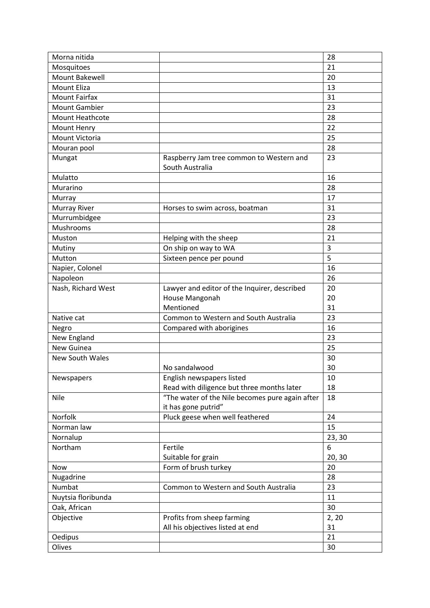| Morna nitida         |                                                                        | 28     |
|----------------------|------------------------------------------------------------------------|--------|
| Mosquitoes           |                                                                        | 21     |
| Mount Bakewell       |                                                                        | 20     |
| <b>Mount Eliza</b>   |                                                                        | 13     |
| <b>Mount Fairfax</b> |                                                                        | 31     |
| <b>Mount Gambier</b> |                                                                        | 23     |
| Mount Heathcote      |                                                                        | 28     |
| Mount Henry          |                                                                        | 22     |
| Mount Victoria       |                                                                        | 25     |
| Mouran pool          |                                                                        | 28     |
| Mungat               | Raspberry Jam tree common to Western and<br>South Australia            | 23     |
| Mulatto              |                                                                        | 16     |
| Murarino             |                                                                        | 28     |
| Murray               |                                                                        | 17     |
| <b>Murray River</b>  | Horses to swim across, boatman                                         | 31     |
| Murrumbidgee         |                                                                        | 23     |
| Mushrooms            |                                                                        | 28     |
| Muston               | Helping with the sheep                                                 | 21     |
| Mutiny               | On ship on way to WA                                                   | 3      |
| Mutton               | Sixteen pence per pound                                                | 5      |
| Napier, Colonel      |                                                                        | 16     |
| Napoleon             |                                                                        | 26     |
| Nash, Richard West   | Lawyer and editor of the Inquirer, described                           | 20     |
|                      | House Mangonah                                                         | 20     |
|                      | Mentioned                                                              | 31     |
| Native cat           | Common to Western and South Australia                                  | 23     |
| Negro                | Compared with aborigines                                               | 16     |
| New England          |                                                                        | 23     |
| New Guinea           |                                                                        | 25     |
| New South Wales      |                                                                        | 30     |
|                      | No sandalwood                                                          | 30     |
| Newspapers           | English newspapers listed                                              | 10     |
|                      | Read with diligence but three months later                             | 18     |
| Nile                 | "The water of the Nile becomes pure again after<br>it has gone putrid" | 18     |
| Norfolk              | Pluck geese when well feathered                                        | 24     |
| Norman law           |                                                                        | 15     |
| Nornalup             |                                                                        | 23, 30 |
| Northam              | Fertile                                                                | 6      |
|                      | Suitable for grain                                                     | 20, 30 |
| Now                  | Form of brush turkey                                                   | 20     |
| Nugadrine            |                                                                        | 28     |
| Numbat               | Common to Western and South Australia                                  | 23     |
| Nuytsia floribunda   |                                                                        | 11     |
| Oak, African         |                                                                        | 30     |
| Objective            | Profits from sheep farming                                             | 2, 20  |
|                      | All his objectives listed at end                                       | 31     |
| Oedipus              |                                                                        | 21     |
| Olives               |                                                                        | 30     |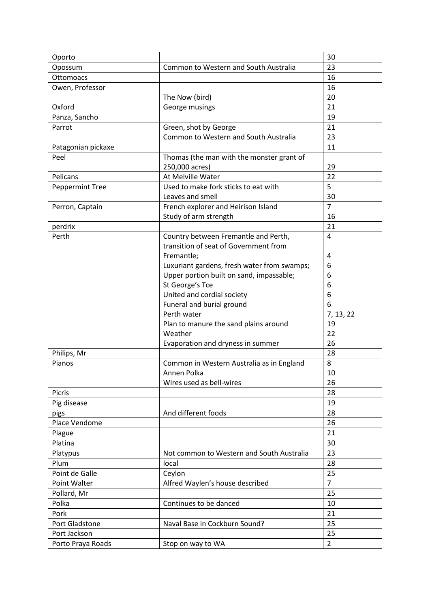| Oporto             |                                             | 30             |
|--------------------|---------------------------------------------|----------------|
| Opossum            | Common to Western and South Australia       | 23             |
| Ottomoacs          |                                             | 16             |
| Owen, Professor    |                                             | 16             |
|                    | The Now (bird)                              | 20             |
| Oxford             | George musings                              | 21             |
| Panza, Sancho      |                                             | 19             |
| Parrot             | Green, shot by George                       | 21             |
|                    | Common to Western and South Australia       | 23             |
| Patagonian pickaxe |                                             | 11             |
| Peel               | Thomas (the man with the monster grant of   |                |
|                    | 250,000 acres)                              | 29             |
| Pelicans           | At Melville Water                           | 22             |
| Peppermint Tree    | Used to make fork sticks to eat with        | 5              |
|                    | Leaves and smell                            | 30             |
| Perron, Captain    | French explorer and Heirison Island         | $\overline{7}$ |
|                    | Study of arm strength                       | 16             |
| perdrix            |                                             | 21             |
| Perth              | Country between Fremantle and Perth,        | $\overline{4}$ |
|                    | transition of seat of Government from       |                |
|                    | Fremantle;                                  | 4              |
|                    | Luxuriant gardens, fresh water from swamps; | 6              |
|                    | Upper portion built on sand, impassable;    | 6              |
|                    | St George's Tce                             | 6              |
|                    | United and cordial society                  | 6              |
|                    | Funeral and burial ground                   | 6              |
|                    | Perth water                                 | 7, 13, 22      |
|                    | Plan to manure the sand plains around       | 19             |
|                    | Weather                                     | 22             |
|                    | Evaporation and dryness in summer           | 26             |
| Philips, Mr        |                                             | 28             |
| Pianos             | Common in Western Australia as in England   | 8              |
|                    | Annen Polka                                 | 10             |
|                    | Wires used as bell-wires                    | 26             |
| Picris             |                                             | 28             |
| Pig disease        |                                             | 19             |
| pigs               | And different foods                         | 28             |
| Place Vendome      |                                             | 26             |
| Plague             |                                             | 21             |
| Platina            |                                             | 30             |
| Platypus           | Not common to Western and South Australia   | 23             |
| Plum               | local                                       | 28             |
| Point de Galle     | Ceylon                                      | 25             |
| Point Walter       | Alfred Waylen's house described             | $\overline{7}$ |
| Pollard, Mr        |                                             | 25             |
| Polka              | Continues to be danced                      | 10             |
| Pork               |                                             | 21             |
| Port Gladstone     | Naval Base in Cockburn Sound?               | 25             |
| Port Jackson       |                                             | 25             |
| Porto Praya Roads  | Stop on way to WA                           | $\overline{2}$ |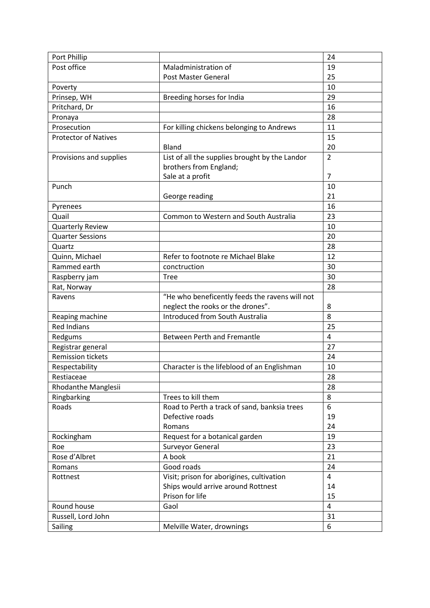| Port Phillip                |                                                | 24             |
|-----------------------------|------------------------------------------------|----------------|
| Post office                 | Maladministration of                           | 19             |
|                             | Post Master General                            | 25             |
| Poverty                     |                                                | 10             |
| Prinsep, WH                 | Breeding horses for India                      | 29             |
| Pritchard, Dr               |                                                | 16             |
| Pronaya                     |                                                | 28             |
| Prosecution                 | For killing chickens belonging to Andrews      | 11             |
| <b>Protector of Natives</b> |                                                | 15             |
|                             | Bland                                          | 20             |
| Provisions and supplies     | List of all the supplies brought by the Landor | $\overline{2}$ |
|                             | brothers from England;                         |                |
|                             | Sale at a profit                               | $\overline{7}$ |
| Punch                       |                                                | 10             |
|                             | George reading                                 | 21             |
| Pyrenees                    |                                                | 16             |
| Quail                       | Common to Western and South Australia          | 23             |
| <b>Quarterly Review</b>     |                                                | 10             |
| <b>Quarter Sessions</b>     |                                                | 20             |
| Quartz                      |                                                | 28             |
| Quinn, Michael              | Refer to footnote re Michael Blake             | 12             |
| Rammed earth                | conctruction                                   | 30             |
| Raspberry jam               | <b>Tree</b>                                    | 30             |
| Rat, Norway                 |                                                | 28             |
| Ravens                      | "He who beneficently feeds the ravens will not |                |
|                             | neglect the rooks or the drones".              | 8              |
| Reaping machine             | <b>Introduced from South Australia</b>         | 8              |
| <b>Red Indians</b>          |                                                | 25             |
| Redgums                     | <b>Between Perth and Fremantle</b>             | 4              |
| Registrar general           |                                                | 27             |
| <b>Remission tickets</b>    |                                                | 24             |
| Respectability              | Character is the lifeblood of an Englishman    | 10             |
| Restiaceae                  |                                                | 28             |
| Rhodanthe Manglesii         |                                                | 28             |
| Ringbarking                 | Trees to kill them                             | 8              |
| Roads                       | Road to Perth a track of sand, banksia trees   | 6              |
|                             | Defective roads                                | 19             |
|                             | Romans                                         | 24             |
| Rockingham                  | Request for a botanical garden                 | 19             |
| Roe                         | Surveyor General                               | 23             |
| Rose d'Albret               | A book                                         | 21             |
| Romans                      | Good roads                                     | 24             |
| Rottnest                    | Visit; prison for aborigines, cultivation      | $\overline{4}$ |
|                             | Ships would arrive around Rottnest             | 14             |
|                             | Prison for life                                | 15             |
| Round house                 | Gaol                                           | $\overline{4}$ |
| Russell, Lord John          |                                                | 31             |
| Sailing                     | Melville Water, drownings                      | 6              |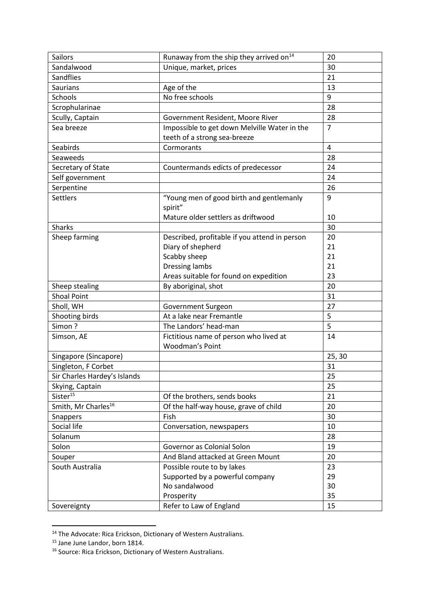| <b>Sailors</b>                  | Runaway from the ship they arrived on <sup>14</sup> | 20             |
|---------------------------------|-----------------------------------------------------|----------------|
| Sandalwood                      | Unique, market, prices                              | 30             |
| Sandflies                       |                                                     | 21             |
| <b>Saurians</b>                 | Age of the                                          | 13             |
| Schools                         | No free schools                                     | 9              |
| Scrophularinae                  |                                                     | 28             |
| Scully, Captain                 | Government Resident, Moore River                    | 28             |
| Sea breeze                      | Impossible to get down Melville Water in the        | $\overline{7}$ |
|                                 | teeth of a strong sea-breeze                        |                |
| Seabirds                        | Cormorants                                          | 4              |
| Seaweeds                        |                                                     | 28             |
| Secretary of State              | Countermands edicts of predecessor                  | 24             |
| Self government                 |                                                     | 24             |
| Serpentine                      |                                                     | 26             |
| <b>Settlers</b>                 | "Young men of good birth and gentlemanly            | 9              |
|                                 | spirit"                                             |                |
|                                 | Mature older settlers as driftwood                  | 10             |
| <b>Sharks</b>                   |                                                     | 30             |
| Sheep farming                   | Described, profitable if you attend in person       | 20             |
|                                 | Diary of shepherd                                   | 21             |
|                                 | Scabby sheep                                        | 21             |
|                                 | <b>Dressing lambs</b>                               | 21             |
|                                 | Areas suitable for found on expedition              | 23             |
| Sheep stealing                  | By aboriginal, shot                                 | 20             |
| <b>Shoal Point</b>              |                                                     | 31             |
| Sholl, WH                       | Government Surgeon                                  | 27             |
| Shooting birds                  | At a lake near Fremantle                            | 5              |
| Simon?                          | The Landors' head-man                               | 5              |
| Simson, AE                      | Fictitious name of person who lived at              | 14             |
|                                 | Woodman's Point                                     |                |
| Singapore (Sincapore)           |                                                     | 25, 30         |
| Singleton, F Corbet             |                                                     | 31             |
| Sir Charles Hardey's Islands    |                                                     | 25             |
| Skying, Captain                 |                                                     | 25             |
| Sister <sup>15</sup>            | Of the brothers, sends books                        | 21             |
| Smith, Mr Charles <sup>16</sup> | Of the half-way house, grave of child               | 20             |
| <b>Snappers</b>                 | Fish                                                | 30             |
| Social life                     | Conversation, newspapers                            | 10             |
| Solanum                         |                                                     | 28             |
| Solon                           | Governor as Colonial Solon                          | 19             |
| Souper                          | And Bland attacked at Green Mount                   | 20             |
| South Australia                 | Possible route to by lakes                          | 23             |
|                                 | Supported by a powerful company                     | 29             |
|                                 | No sandalwood                                       | 30             |
|                                 | Prosperity                                          | 35             |
| Sovereignty                     | Refer to Law of England                             | 15             |
|                                 |                                                     |                |

<sup>&</sup>lt;sup>14</sup> The Advocate: Rica Erickson, Dictionary of Western Australians.

<sup>&</sup>lt;sup>15</sup> Jane June Landor, born 1814.

<sup>&</sup>lt;sup>16</sup> Source: Rica Erickson, Dictionary of Western Australians.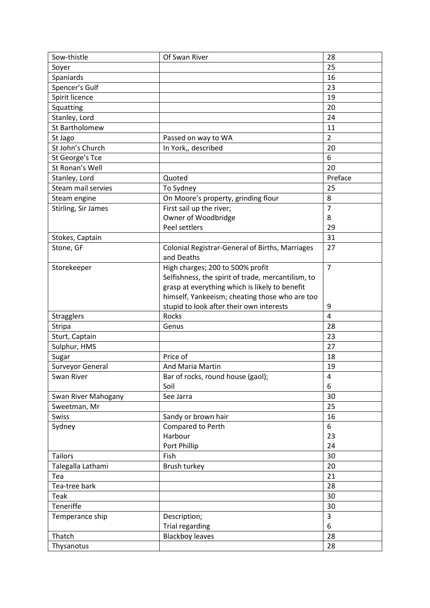| Sow-thistle         | Of Swan River                                      | 28             |
|---------------------|----------------------------------------------------|----------------|
| Soyer               |                                                    | 25             |
| Spaniards           |                                                    | 16             |
| Spencer's Gulf      |                                                    | 23             |
| Spirit licence      |                                                    | 19             |
| Squatting           |                                                    | 20             |
| Stanley, Lord       |                                                    | 24             |
| St Bartholomew      |                                                    | 11             |
| St Jago             | Passed on way to WA                                | $\overline{2}$ |
| St John's Church    | In York,, described                                | 20             |
| St George's Tce     |                                                    | 6              |
| St Ronan's Well     |                                                    | 20             |
| Stanley, Lord       | Quoted                                             | Preface        |
| Steam mail servies  | To Sydney                                          | 25             |
| Steam engine        | On Moore's property, grinding flour                | 8              |
| Stirling, Sir James | First sail up the river;                           | $\overline{7}$ |
|                     | Owner of Woodbridge                                | 8              |
|                     | Peel settlers                                      | 29             |
| Stokes, Captain     |                                                    | 31             |
| Stone, GF           | Colonial Registrar-General of Births, Marriages    | 27             |
|                     | and Deaths                                         |                |
| Storekeeper         | High charges; 200 to 500% profit                   | $\overline{7}$ |
|                     | Selfishness, the spirit of trade, mercantilism, to |                |
|                     | grasp at everything which is likely to benefit     |                |
|                     | himself, Yankeeism; cheating those who are too     |                |
|                     | stupid to look after their own interests           | 9              |
| <b>Stragglers</b>   | Rocks                                              | $\overline{4}$ |
| <b>Stripa</b>       | Genus                                              | 28             |
| Sturt, Captain      |                                                    | 23             |
| Sulphur, HMS        |                                                    | 27             |
| Sugar               | Price of                                           | 18             |
| Surveyor General    | And Maria Martin                                   | 19             |
| Swan River          | Bar of rocks, round house (gaol);                  | 4              |
|                     | Soil                                               | 6              |
| Swan River Mahogany | See Jarra                                          | 30             |
| Sweetman, Mr        |                                                    | 25             |
| <b>Swiss</b>        | Sandy or brown hair                                | 16             |
| Sydney              | Compared to Perth                                  | 6              |
|                     | Harbour                                            | 23             |
|                     | Port Phillip                                       | 24             |
| <b>Tailors</b>      | Fish                                               | 30             |
| Talegalla Lathami   | Brush turkey                                       | 20             |
| Tea                 |                                                    | 21             |
| Tea-tree bark       |                                                    | 28             |
| Teak                |                                                    | 30             |
| Teneriffe           |                                                    | 30             |
| Temperance ship     | Description;                                       | 3              |
|                     | <b>Trial regarding</b>                             | 6              |
| Thatch              | <b>Blackboy leaves</b>                             | 28             |
| Thysanotus          |                                                    | 28             |
|                     |                                                    |                |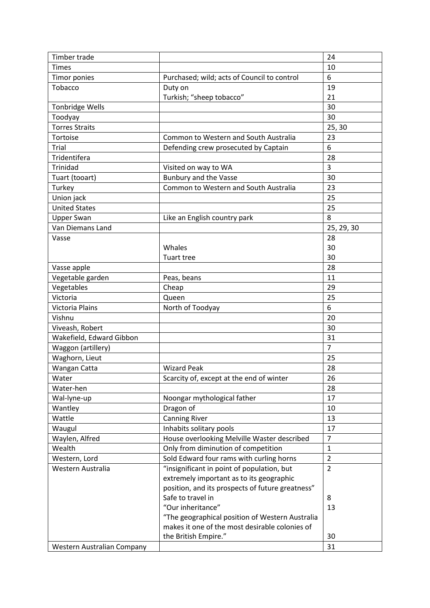| Timber trade               |                                                  | 24             |
|----------------------------|--------------------------------------------------|----------------|
| <b>Times</b>               |                                                  | 10             |
| Timor ponies               | Purchased; wild; acts of Council to control      | 6              |
| Tobacco                    | Duty on                                          | 19             |
|                            | Turkish; "sheep tobacco"                         | 21             |
| <b>Tonbridge Wells</b>     |                                                  | 30             |
| Toodyay                    |                                                  | 30             |
| <b>Torres Straits</b>      |                                                  | 25, 30         |
| Tortoise                   | Common to Western and South Australia            | 23             |
| Trial                      | Defending crew prosecuted by Captain             | 6              |
| Tridentifera               |                                                  | 28             |
| Trinidad                   | Visited on way to WA                             | $\overline{3}$ |
| Tuart (tooart)             | <b>Bunbury and the Vasse</b>                     | 30             |
| Turkey                     | Common to Western and South Australia            | 23             |
| Union jack                 |                                                  | 25             |
| <b>United States</b>       |                                                  | 25             |
| <b>Upper Swan</b>          | Like an English country park                     | 8              |
| Van Diemans Land           |                                                  | 25, 29, 30     |
| Vasse                      |                                                  | 28             |
|                            | Whales                                           | 30             |
|                            | Tuart tree                                       | 30             |
| Vasse apple                |                                                  | 28             |
| Vegetable garden           | Peas, beans                                      | 11             |
| Vegetables                 | Cheap                                            | 29             |
| Victoria                   | Queen                                            | 25             |
| Victoria Plains            | North of Toodyay                                 | 6              |
| Vishnu                     |                                                  | 20             |
| Viveash, Robert            |                                                  | 30             |
| Wakefield, Edward Gibbon   |                                                  | 31             |
| Waggon (artillery)         |                                                  | $\overline{7}$ |
| Waghorn, Lieut             |                                                  | 25             |
| Wangan Catta               | <b>Wizard Peak</b>                               | 28             |
| Water                      | Scarcity of, except at the end of winter         | 26             |
| Water-hen                  |                                                  | 28             |
| Wal-lyne-up                | Noongar mythological father                      | 17             |
| Wantley                    | Dragon of                                        | 10             |
| Wattle                     | <b>Canning River</b>                             | 13             |
| Waugul                     | Inhabits solitary pools                          | 17             |
| Waylen, Alfred             | House overlooking Melville Waster described      | $\overline{7}$ |
| Wealth                     | Only from diminution of competition              | $\mathbf{1}$   |
| Western, Lord              | Sold Edward four rams with curling horns         | $\overline{2}$ |
| Western Australia          | "insignificant in point of population, but       | $\overline{2}$ |
|                            | extremely important as to its geographic         |                |
|                            | position, and its prospects of future greatness" |                |
|                            | Safe to travel in                                | 8              |
|                            | "Our inheritance"                                | 13             |
|                            | "The geographical position of Western Australia  |                |
|                            | makes it one of the most desirable colonies of   |                |
|                            | the British Empire."                             | 30             |
| Western Australian Company |                                                  | 31             |